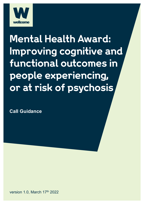

# **Mental Health Award: Improving cognitive and functional outcomes in people experiencing, or at risk of psychosis**

**Call Guidance**

version 1.0, March 17th 2022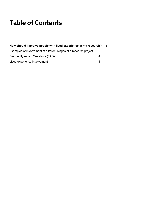# **Table of Contents**

| How should I involve people with lived experience in my research? |     | -3 |
|-------------------------------------------------------------------|-----|----|
| Examples of involvement at different stages of a research project | -3- |    |
| <b>Frequently Asked Questions (FAQs)</b>                          | 4   |    |
| Lived experience involvement                                      | 4   |    |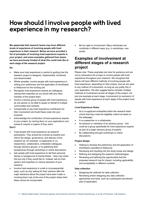# **How should I involve people with lived experience in my research?**

**We appreciate that research teams may have different levels of experience of involving people with lived experience in their research. Below we have provided a list of principles of involving lived experience experts in your project, and some examples gathered from teams we have previously funded of what this could look like at each stage of the research project.**

#### **Do:**

- Make sure lived experience is central to guiding how the research project is designed, implemented, monitored, and disseminated.
- Where possible, involve people with lived experience in writing your preliminary and full application (if shortlisted) to Wellcome for this funding call.
- Recognise lived experience experts as colleagues, valuing their expertise as you would with any other member of the project team.
- Involve a diverse group of people with lived experience, as one person is not able to speak on behalf of multiple communities and contexts.
- Compensate or pay lived experience contributors for their involvement and build these costs into your proposal.
- Acknowledge the contribution of lived experience experts to your project, by naming them on your applications and research outputs or papers (if they wish).

#### **Don't:**

- Treat people with lived experience as research participants. They should be involved as experts and inform the design, governance, and delivery of the research as, for example, co-applicants or coresearchers, collaborators, embedded colleagues, through advisory groups, or by gathering their perspectives through workshops or online discussions.
- Ask people with lived experience to tell their personal stories or background of mental illness – they may share this but only if they would like to. Instead, ask for their opinion and expertise on various elements of your research.
- Involve lived experience in small or inconsequential ways, such as only asking for their opinions after the major decisions about the project have been made or involving them only at the end of the project where their ideas cannot be incorporated.

Be too rigid on involvement. Many individuals can contribute in different ways (e.g. in workshops, over email).

### **Examples of involvement at different stages of a research project**

Please note: These examples are here for guidance and are not an exhaustive list of ways to involve people with lived experience throughout your research. We recognise that teams will have different methods of involving people with lived experience, depending on their project, and we are open to any method of involvement, so long as you justify this in your application. We also suggest teams consider multiple methods of involvement across all stages of the project, not just one example at each stage. Involvement (or exclusion) of people with lived experience at each stage of the project must be justified.

#### **Lived Experience Roles**

- As a co-applicant embedded within the research team (check that they meet the eligibility criteria as listed on the webpage).
- A co-researcher or a collaborator.
- As advisors or members of an advisory group this could be a group specifically for lived experience experts as part of a larger advisory group of experts.
- By collaborating through workshops or online discussions.

#### **Project design**

- Helping to develop the preliminary and full application (if shortlisted) submitted to Wellcome
- Reviewing and inputting into the study scope and design
- Refining and designing the research methodologies
- Reviewing and defining the opportunities that the proposed research has for impact, including applicability and acceptability in different contexts

#### **Data collection**

- Designing the methods for data collection
- Reviewing and/or designing any data collection approaches and tools, such as a participant recruitment plan (if applicable).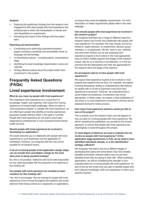#### **Analysis**

- Exploring the preliminary findings from the research and engagement with other people with lived experience and professionals to inform the interpretation of results and next steps/follow on experiments
- Discussing the impact of the findings with the project team.

#### **Reporting and dissemination**

- Contributing to/co-authoring publications/research papers including a sensitivity and accessibility check on language and terminology
- Co-developing outputs including papers, presentations, blogs
- Identifying the best knowledge dissemination routes and methods
- Writing reflective pieces about the project and/or their involvement in the project.

## **Frequently Asked Questions (FAQs)**

### **Lived experience involvement**

#### **What do you mean by people with lived experience?**

We understand lived experience as a unique form of knowledge, insight, and expertise, that comes from having experience of mental health challenges. When we refer to 'lived experience experts' or 'people with lived experience' we are referring to people who identify as having experienced psychosis broadly defined, either in the past or currently. People with lived experience do not need to have been diagnosed by professionals or have accessed formal mental health services.

#### **Should people with lived experience be involved in developing our application?**

We would welcome you to collaborate with people with lived experience on your preliminary and full application (if shortlisted). However, we recognise that this may not be possible for all research teams.

#### **If we are involving people at the application design stage, can we include that consultation charge for the work done prior to being awarded funding?**

No, this is not possible. Wellcome will not be held responsible for any costs associated with the production of a response to this funding call.

#### **Can people with lived experience be included as team members for this funding call?**

Yes, this is encouraged. We are looking for people with lived experience to be involved throughout the research and would welcome them being named as co-applicants on applications, so long as they meet the eligibility requirements. For more information on these requirements please refer to the main webpage.

#### **How should people with lived experience be involved in the research project?**

We recognise that there are a range of different ways that research teams can involve and collaborate with people with lived experience. For example, this may include, but not be limited to, expert advisors, co-researchers, advisory group members, or co-applicants. We are open to any methods and roles team choose, but we are expecting lived experience experts to be involved in the most appropriate ways to inform multiple aspects and stages of the research project. Key for us is that this is not tokenistic, or a tick box exercise and the approaches and roles are appropriate for the research aims and stage of the research.

#### **Do all projects need to involve people with lived experience?**

We expect lived experience experts to be involved in most projects and research that we fund. For example, all projects involving developing, testing or understanding interventions for people with or at risk of psychosis must have lived experience involvement. However, we understand that in some limited circumstances, involvement may not be appropriate. In these cases, we require a clear justification of why there is no lived experience involvement, and this will be assessed during the review process.

#### **How many lived experience advisors would you like to see on the project?**

This is entirely up to the research team and will depend on how you plan on involving people with lived experience. We will be reviewing the justification you provide for the chosen approach, to ensure that people with lived experience are meaningfully involved throughout the project.

#### **To what degree of detail do we need to indicate who we involve as people with lived experience? At the application stage (preliminary or full), do we need to have identified individuals already, or is the identification strategy sufficient?**

We recognise that teams may be at different stages in developing their plans and some teams may have already identified individuals, whereas others may not yet have identified those they are going to work with. When reviewing applications, we will be considering the strength of your proposed plans for involving people with lived experience. As part of this we will review how you plan to identify people who have relevant knowledge, skills and experience to inform your specific proposal.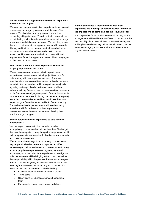#### **Will we need ethical approval to involve lived experience advisors in our project?**

We are expecting people with lived experience to be involved in informing the design, governance, and delivery of the projects. This is distinct from any research you will be conducting with participants. Therefore, their roles would be in contributing advice, knowledge and expertise to the design, governance, and delivery of the project. This will likely mean that you do not need ethical approval to work with people in this way and that you can incorporate their contributions as you would with any other advisor, collaborator, or coresearcher. However, some institutions do vary with their requirements for ethical approval so we would encourage you to check with your institution.

#### **How can we ensure that lived experience experts are properly supported in their roles?**

We encourage research teams to build a positive and supportive work environment in their project team and for collaborating with lived experience experts. There are proactive steps teams could take to support lived experience experts to feel more embedded in a project, such as jointly agreeing best ways of collaborative working, providing technical training if required, and encouraging team members to clarify acronyms and jargon regularly. Regular team checkins where team members (including lived experience experts) feel able to raise any issues and how to address them could help to mitigate future issues around lack of support arising. The Wellcome lived experience team will also be running workshops with funded teams on lived experience involvement to enable teams to share and develop their practice and gain support.

#### **Should people with lived experience be paid for their involvement?**

Yes, we expect people with lived experience to be appropriately compensated or paid for their time. The budget that must be completed during the application process should include appropriate remuneration for lived experience experts and costs for involvement.

We cannot advise on ways to appropriately compensate or pay people with lived experience, as approaches differ between organisations and contexts. However, when thinking about appropriate compensation or payment, we would encourage you to think about the experience, knowledge, and skills that someone will be bringing to the project, as well as their responsibility within the process. Please make sure you are appropriately budgeting for the costs needed to support meaningful involvement, as set out in your proposals. For example, this could include (but not be limited to):

- Consultant fees for LE experts on the project
- Travel costs
- Salary costs for LE researchers embedded in a team
- Expenses to support meetings or workshops

#### **Is there any advice if those involved with lived experience are in receipt of social security, in terms of the implications of being paid for their involvement?**

It is not possible for us to advise on social security, as the arrangements will be different in different countries. It is the responsibility of the research team to ensure that they are abiding by any relevant regulations in their context, and we would encourage you to seek advice from relevant local organisations if needed.